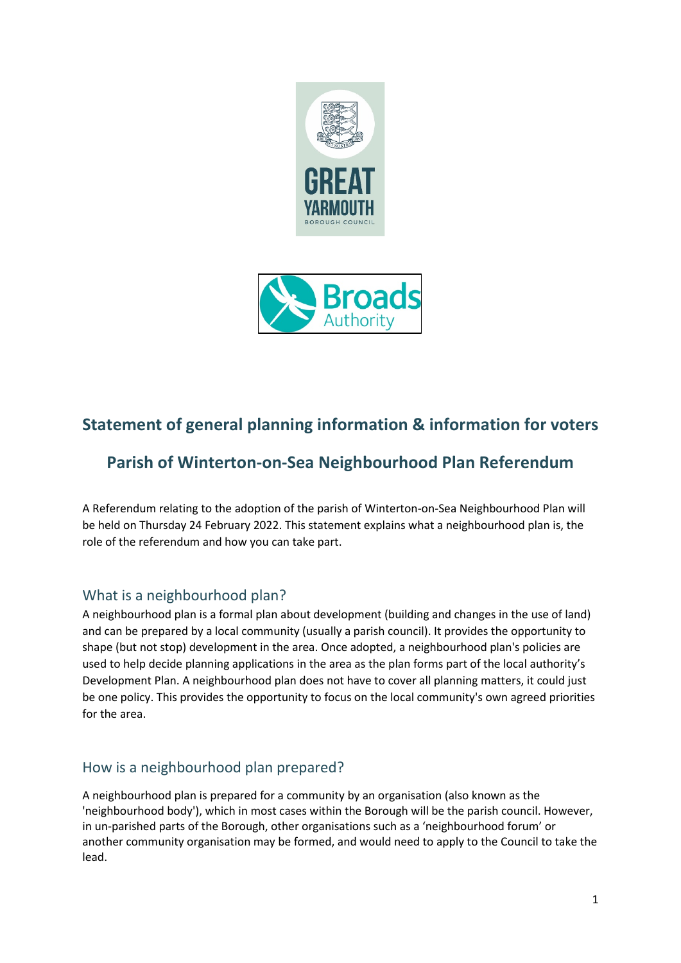



# **Statement of general planning information & information for voters**

# **Parish of Winterton-on-Sea Neighbourhood Plan Referendum**

A Referendum relating to the adoption of the parish of Winterton-on-Sea Neighbourhood Plan will be held on Thursday 24 February 2022. This statement explains what a neighbourhood plan is, the role of the referendum and how you can take part.

### What is a neighbourhood plan?

A neighbourhood plan is a formal plan about development (building and changes in the use of land) and can be prepared by a local community (usually a parish council). It provides the opportunity to shape (but not stop) development in the area. Once adopted, a neighbourhood plan's policies are used to help decide planning applications in the area as the plan forms part of the local authority's Development Plan. A neighbourhood plan does not have to cover all planning matters, it could just be one policy. This provides the opportunity to focus on the local community's own agreed priorities for the area.

## How is a neighbourhood plan prepared?

A neighbourhood plan is prepared for a community by an organisation (also known as the 'neighbourhood body'), which in most cases within the Borough will be the parish council. However, in un-parished parts of the Borough, other organisations such as a 'neighbourhood forum' or another community organisation may be formed, and would need to apply to the Council to take the lead.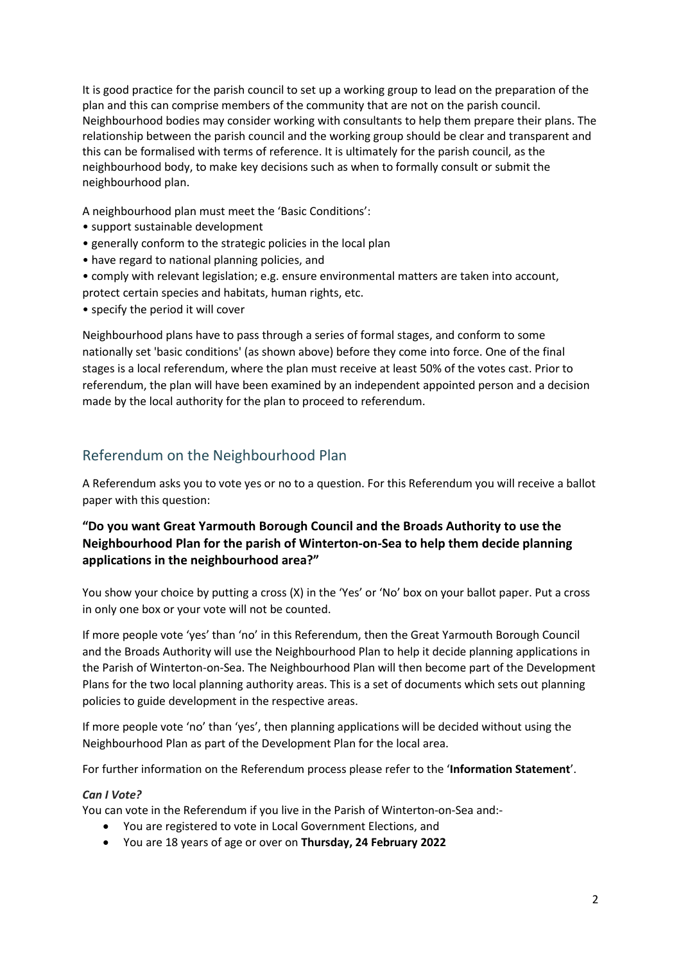It is good practice for the parish council to set up a working group to lead on the preparation of the plan and this can comprise members of the community that are not on the parish council. Neighbourhood bodies may consider working with consultants to help them prepare their plans. The relationship between the parish council and the working group should be clear and transparent and this can be formalised with terms of reference. It is ultimately for the parish council, as the neighbourhood body, to make key decisions such as when to formally consult or submit the neighbourhood plan.

A neighbourhood plan must meet the 'Basic Conditions':

- support sustainable development
- generally conform to the strategic policies in the local plan
- have regard to national planning policies, and
- comply with relevant legislation; e.g. ensure environmental matters are taken into account, protect certain species and habitats, human rights, etc.
- specify the period it will cover

Neighbourhood plans have to pass through a series of formal stages, and conform to some nationally set 'basic conditions' (as shown above) before they come into force. One of the final stages is a local referendum, where the plan must receive at least 50% of the votes cast. Prior to referendum, the plan will have been examined by an independent appointed person and a decision made by the local authority for the plan to proceed to referendum.

### Referendum on the Neighbourhood Plan

A Referendum asks you to vote yes or no to a question. For this Referendum you will receive a ballot paper with this question:

### **"Do you want Great Yarmouth Borough Council and the Broads Authority to use the Neighbourhood Plan for the parish of Winterton-on-Sea to help them decide planning applications in the neighbourhood area?"**

You show your choice by putting a cross (X) in the 'Yes' or 'No' box on your ballot paper. Put a cross in only one box or your vote will not be counted.

If more people vote 'yes' than 'no' in this Referendum, then the Great Yarmouth Borough Council and the Broads Authority will use the Neighbourhood Plan to help it decide planning applications in the Parish of Winterton-on-Sea. The Neighbourhood Plan will then become part of the Development Plans for the two local planning authority areas. This is a set of documents which sets out planning policies to guide development in the respective areas.

If more people vote 'no' than 'yes', then planning applications will be decided without using the Neighbourhood Plan as part of the Development Plan for the local area.

For further information on the Referendum process please refer to the '**Information Statement**'.

#### *Can I Vote?*

You can vote in the Referendum if you live in the Parish of Winterton-on-Sea and:-

- You are registered to vote in Local Government Elections, and
- You are 18 years of age or over on **Thursday, 24 February 2022**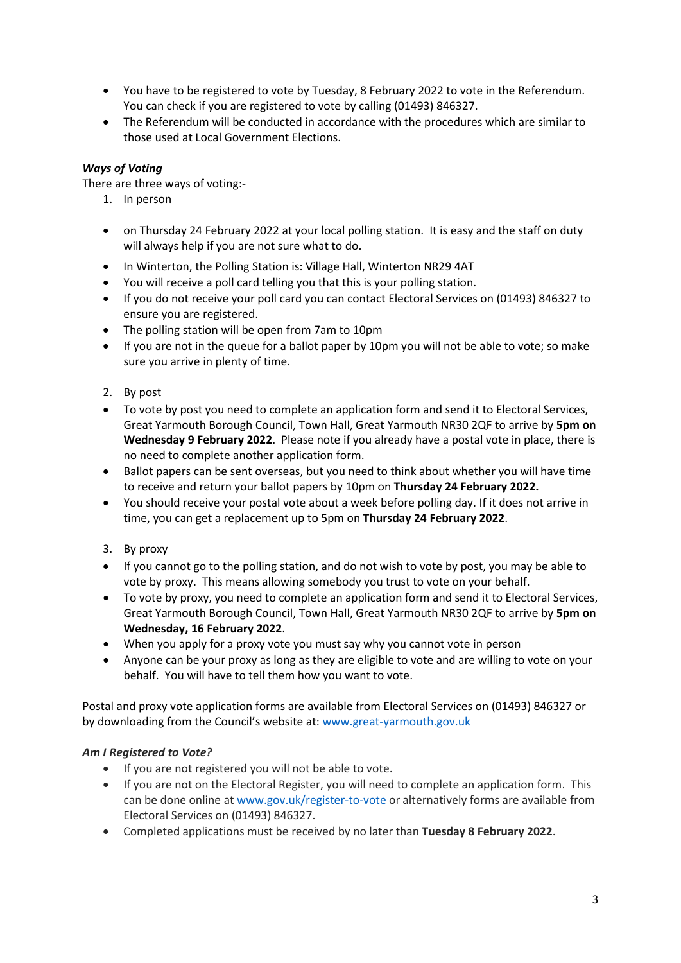- You have to be registered to vote by Tuesday, 8 February 2022 to vote in the Referendum. You can check if you are registered to vote by calling (01493) 846327.
- The Referendum will be conducted in accordance with the procedures which are similar to those used at Local Government Elections.

### *Ways of Voting*

There are three ways of voting:-

- 1. In person
- on Thursday 24 February 2022 at your local polling station. It is easy and the staff on duty will always help if you are not sure what to do.
- In Winterton, the Polling Station is: Village Hall, Winterton NR29 4AT
- You will receive a poll card telling you that this is your polling station.
- If you do not receive your poll card you can contact Electoral Services on (01493) 846327 to ensure you are registered.
- The polling station will be open from 7am to 10pm
- If you are not in the queue for a ballot paper by 10pm you will not be able to vote; so make sure you arrive in plenty of time.
- 2. By post
- To vote by post you need to complete an application form and send it to Electoral Services, Great Yarmouth Borough Council, Town Hall, Great Yarmouth NR30 2QF to arrive by **5pm on Wednesday 9 February 2022**. Please note if you already have a postal vote in place, there is no need to complete another application form.
- Ballot papers can be sent overseas, but you need to think about whether you will have time to receive and return your ballot papers by 10pm on **Thursday 24 February 2022.**
- You should receive your postal vote about a week before polling day. If it does not arrive in time, you can get a replacement up to 5pm on **Thursday 24 February 2022**.
- 3. By proxy
- If you cannot go to the polling station, and do not wish to vote by post, you may be able to vote by proxy. This means allowing somebody you trust to vote on your behalf.
- To vote by proxy, you need to complete an application form and send it to Electoral Services, Great Yarmouth Borough Council, Town Hall, Great Yarmouth NR30 2QF to arrive by **5pm on Wednesday, 16 February 2022**.
- When you apply for a proxy vote you must say why you cannot vote in person
- Anyone can be your proxy as long as they are eligible to vote and are willing to vote on your behalf. You will have to tell them how you want to vote.

Postal and proxy vote application forms are available from Electoral Services on (01493) 846327 or by downloading from the Council's website at: www.great-yarmouth.gov.uk

#### *Am I Registered to Vote?*

- If you are not registered you will not be able to vote.
- If you are not on the Electoral Register, you will need to complete an application form. This can be done online at [www.gov.uk/register-to-vote](http://www.gov.uk/register-to-vote) or alternatively forms are available from Electoral Services on (01493) 846327.
- Completed applications must be received by no later than **Tuesday 8 February 2022**.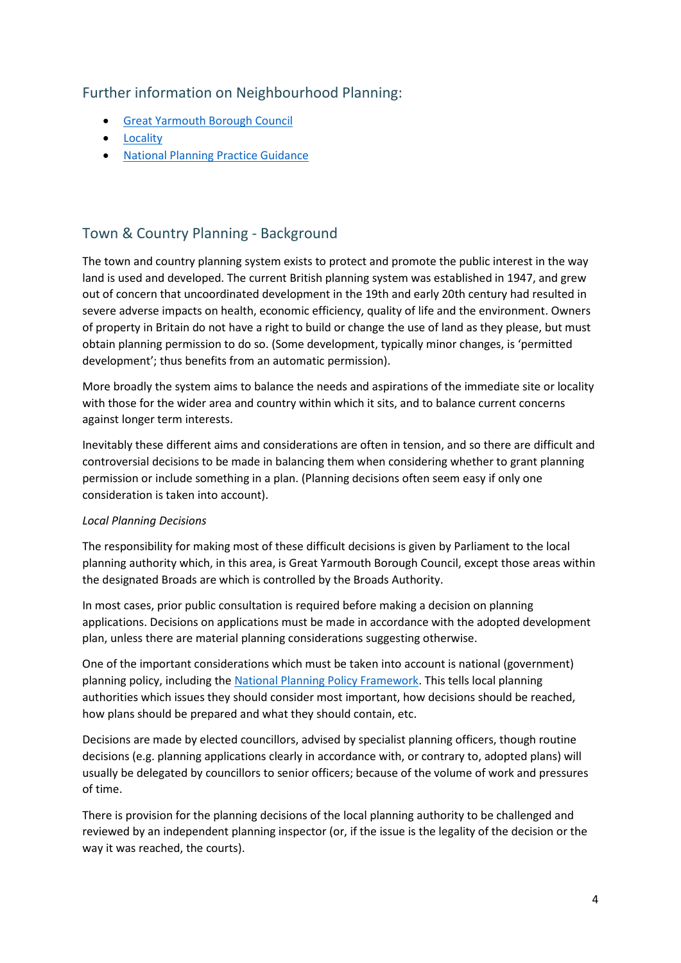### Further information on Neighbourhood Planning:

- [Great Yarmouth Borough Council](https://www.great-yarmouth.gov.uk/neighbourhood-planning)
- [Locality](https://locality.org.uk/services-tools/neighbourhood-planning/)
- [National Planning Practice Guidance](https://www.gov.uk/guidance/neighbourhood-planning--2)

## Town & Country Planning - Background

The town and country planning system exists to protect and promote the public interest in the way land is used and developed. The current British planning system was established in 1947, and grew out of concern that uncoordinated development in the 19th and early 20th century had resulted in severe adverse impacts on health, economic efficiency, quality of life and the environment. Owners of property in Britain do not have a right to build or change the use of land as they please, but must obtain planning permission to do so. (Some development, typically minor changes, is 'permitted development'; thus benefits from an automatic permission).

More broadly the system aims to balance the needs and aspirations of the immediate site or locality with those for the wider area and country within which it sits, and to balance current concerns against longer term interests.

Inevitably these different aims and considerations are often in tension, and so there are difficult and controversial decisions to be made in balancing them when considering whether to grant planning permission or include something in a plan. (Planning decisions often seem easy if only one consideration is taken into account).

#### *Local Planning Decisions*

The responsibility for making most of these difficult decisions is given by Parliament to the local planning authority which, in this area, is Great Yarmouth Borough Council, except those areas within the designated Broads are which is controlled by the Broads Authority.

In most cases, prior public consultation is required before making a decision on planning applications. Decisions on applications must be made in accordance with the adopted development plan, unless there are material planning considerations suggesting otherwise.

One of the important considerations which must be taken into account is national (government) planning policy, including the [National Planning Policy Framework.](https://www.gov.uk/government/publications/national-planning-policy-framework--2) This tells local planning authorities which issues they should consider most important, how decisions should be reached, how plans should be prepared and what they should contain, etc.

Decisions are made by elected councillors, advised by specialist planning officers, though routine decisions (e.g. planning applications clearly in accordance with, or contrary to, adopted plans) will usually be delegated by councillors to senior officers; because of the volume of work and pressures of time.

There is provision for the planning decisions of the local planning authority to be challenged and reviewed by an independent planning inspector (or, if the issue is the legality of the decision or the way it was reached, the courts).